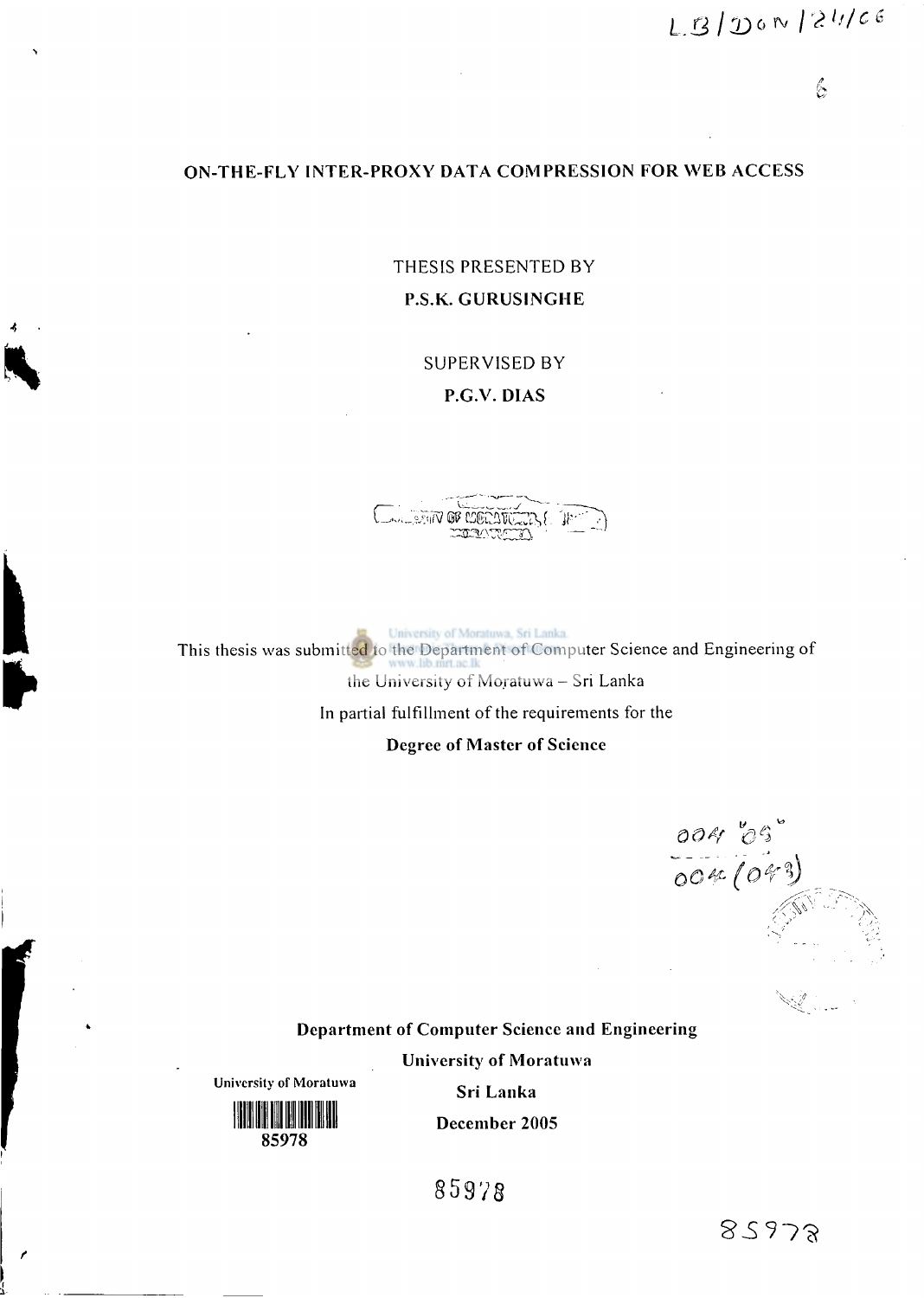$\mathscr{L}$ 

#### ON-THE-FLY INTER-PROXY DATA COMPRESSION FOR WEB ACCESS

THESIS PRESENTED BY P.S.K. GURUSINGHE

SUPERVISED BY

P.G.V. DIAS



University of Moratuwa, Sri Lanka. This thesis was submitted to the Department of Computer Science and Engineering of the University of Moratuwa - Sri Lanka

In partial fulfillment of the requirements for the

Degree of Master of Science

*OO\* (Of \* 

Department of Computer Science and Engineering

University of Moratuwa



**University of Moratuwa** 

Sri Lanka lllllllllllllllllllllllllllllll Decembe r 200 5

85978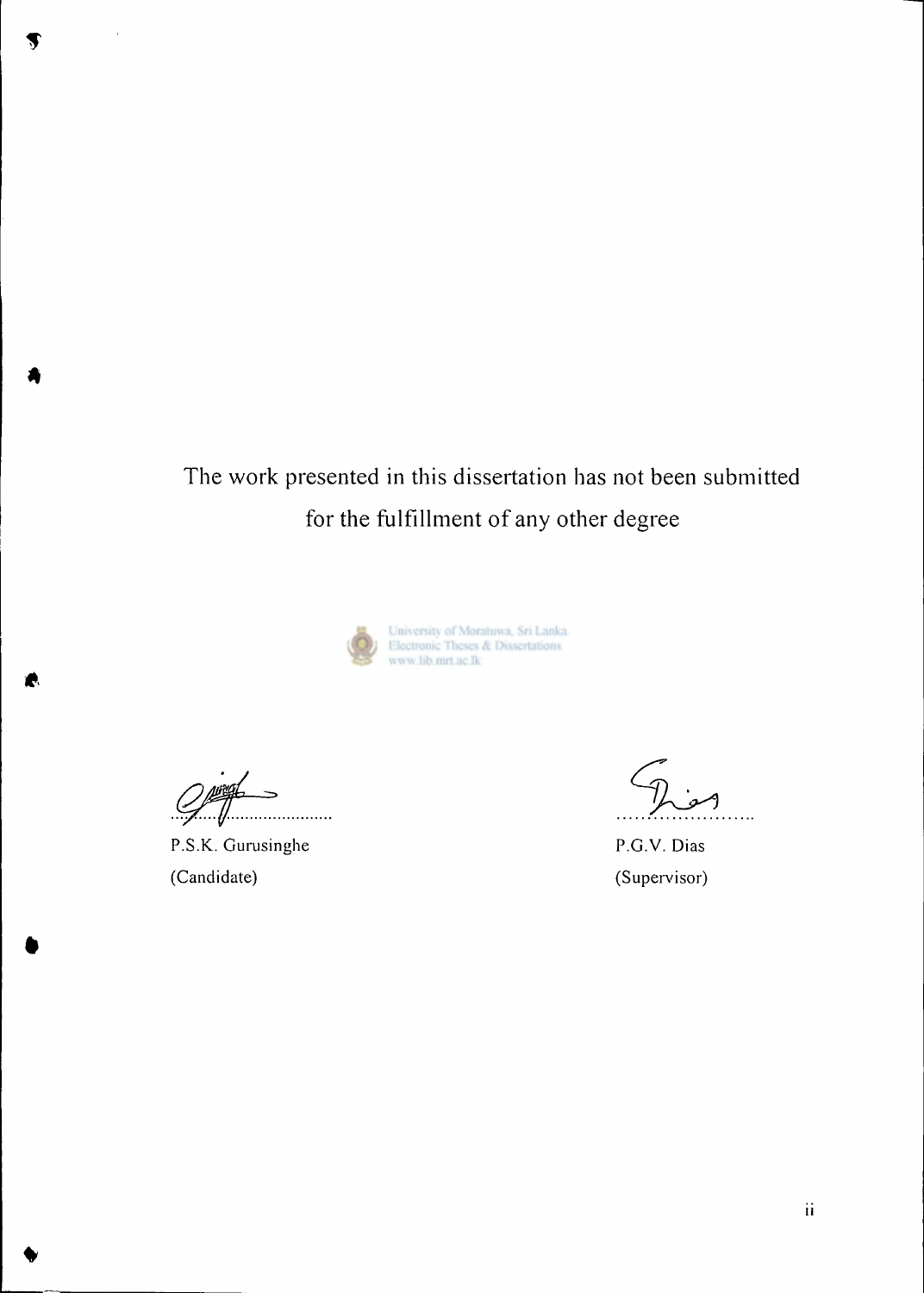$\overline{a}$ 

**\*** 

# The work presented in this dissertation has not been submitted for the fulfillment of any other degree



University of Moratuwa, Sri Lanka. Electronic Theses & Dissertations www.lib.mrt.ac.lk

. . . . . . .

P.S.K. Gurusinghe (Candidate)

P.G.V. Dias (Supervisor)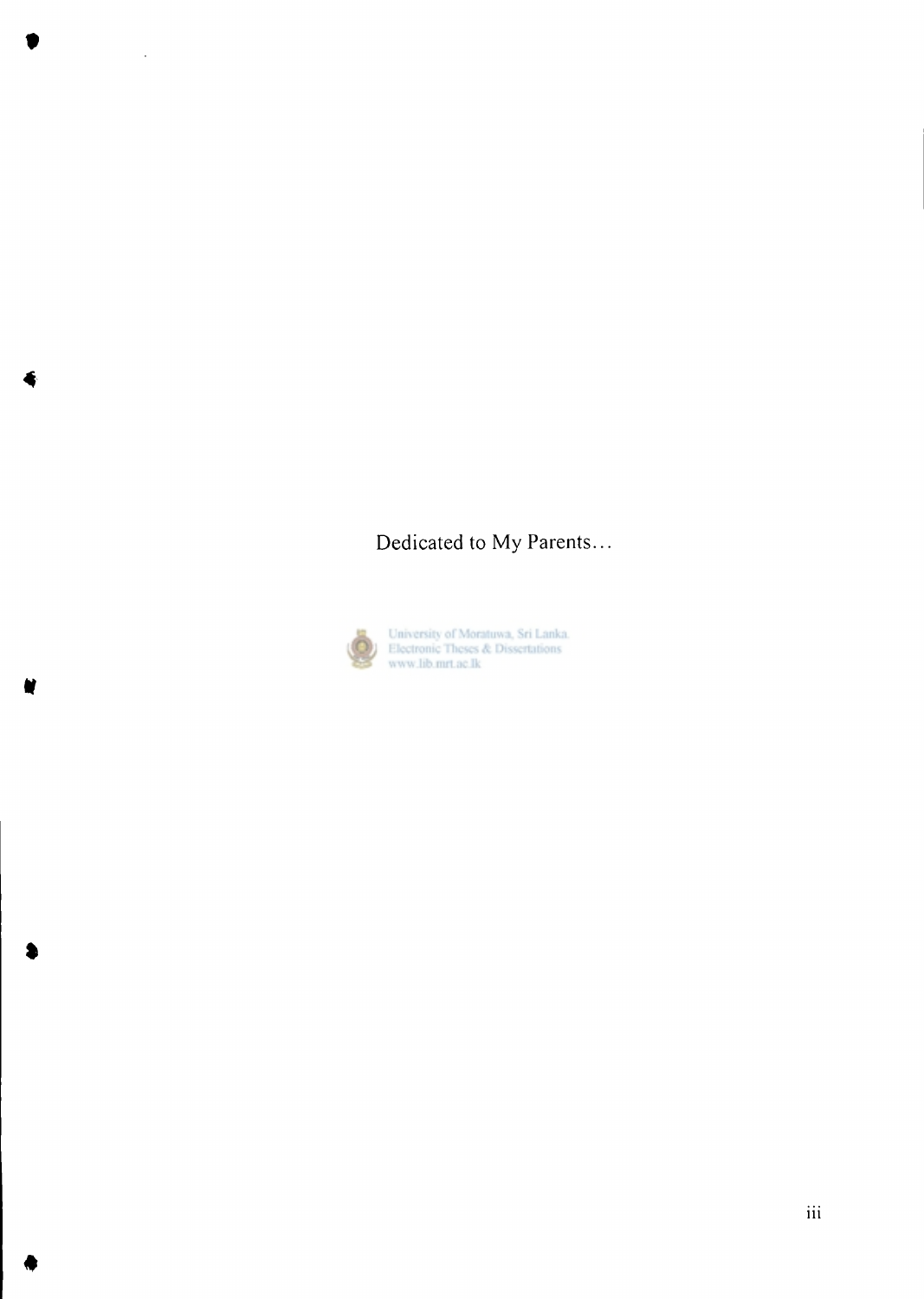### Dedicated to My Parents...



 $\hat{\mathcal{A}}$ 

University of Moratuwa, Sri Lanka.<br>Electronic Theses & Dissertations<br>www.lib.mrt.ac.lk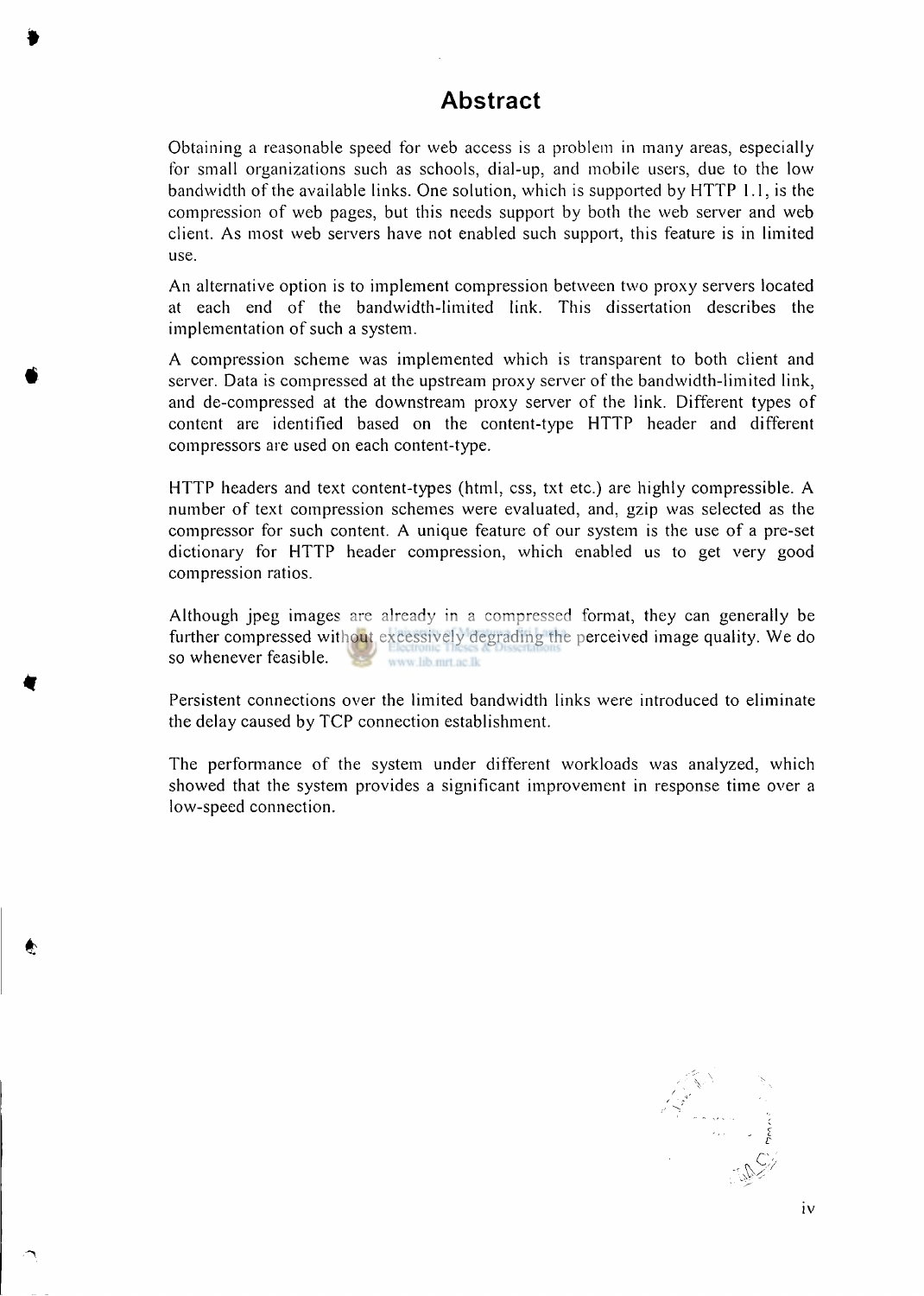### **Abstract**

Obtaining a reasonable speed for web access is a problem in many areas, especially for small organizations such as schools, dial-up, and mobile users, due to the low bandwidth of the available links. One solution, which is supported by  $HTTP 1.1$ , is the compression of web pages, but this needs support by both the web server and web client. As most web servers have not enabled such support, this feature is in limited use.

An alternative option is to implement compression between two proxy servers located at each end of the bandwidth-limited link. This dissertation describes the implementation of such a system.

A compression scheme was implemented which is transparent to both client and server. Data is compressed at the upstream proxy server of the bandwidth-limited link, and de-compressed at the downstream proxy server of the link. Different types of content are identified based on the content-type HTTP header and different compressors are used on each content-type.

HTTP headers and text content-types (html, css, txt etc.) are highly compressible. A number of text compression schemes were evaluated, and, gzip was selected as the compressor for such content. A unique feature of our system is the use of a pre-set dictionary for HTTP header compression, which enabled us to get very good compression ratios.

Although jpeg images are already in a compressed format, they can generally be further compressed without excessively degrading the perceived image quality. We do so whenever feasible. www lib mrt ac Ik

Persistent connections over the limited bandwidth links were introduced to eliminate the delay caused by TCP connection establishment.

The performance of the system under different workloads was analyzed, which showed that the system provides a significant improvement in response time over a low-speed connection.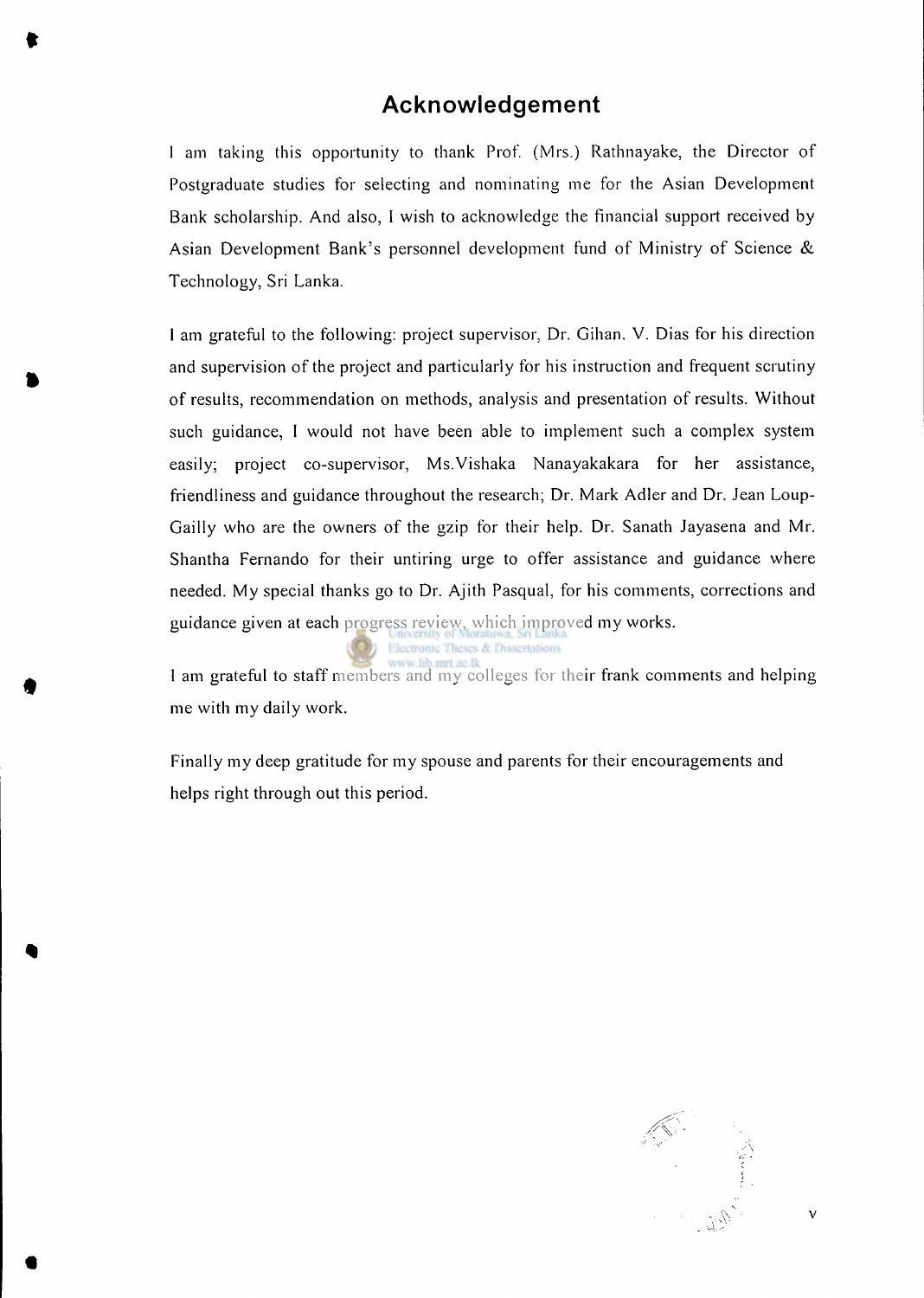#### **Acknowledgement**

**t** 

1 am taking this opportunity to thank Prof. (Mrs.) Rathnayake, the Director of Postgraduate studies for selecting and nominating me for the Asian Development Bank scholarship. And also, I wish to acknowledge the financial support received by Asian Development Bank's personnel development fund of Ministry of Science  $\&$ Technology, Sri Lanka.

1 am grateful to the following: project supervisor, Dr. Gihan. V. Dias for his direction and supervision of the project and particularly for his instruction and frequent scrutiny of results, recommendation on methods, analysis and presentation of results. Without such guidance, I would not have been able to implement such a complex system easily; project co-supervisor, Ms.Vishaka Nanayakakara for her assistance, friendliness and guidance throughout the research; Dr. Mark Adler and Dr. Jean Loup-Gailly who are the owners of the gzip for their help. Dr. Sanath Jayasena and Mr. Shantha Fernando for their untiring urge to offer assistance and guidance where needed. My special thanks go to Dr. Ajith Pasqual, for his comments, corrections and guidance given at each progress review, which improved my works.

ses & Dissertations

1 am grateful to staff members and my colleges for their frank comments and helping me with my daily work.

Finally my deep gratitude for my spouse and parents for their encouragements and helps right through out this period.



 $\mathbf V$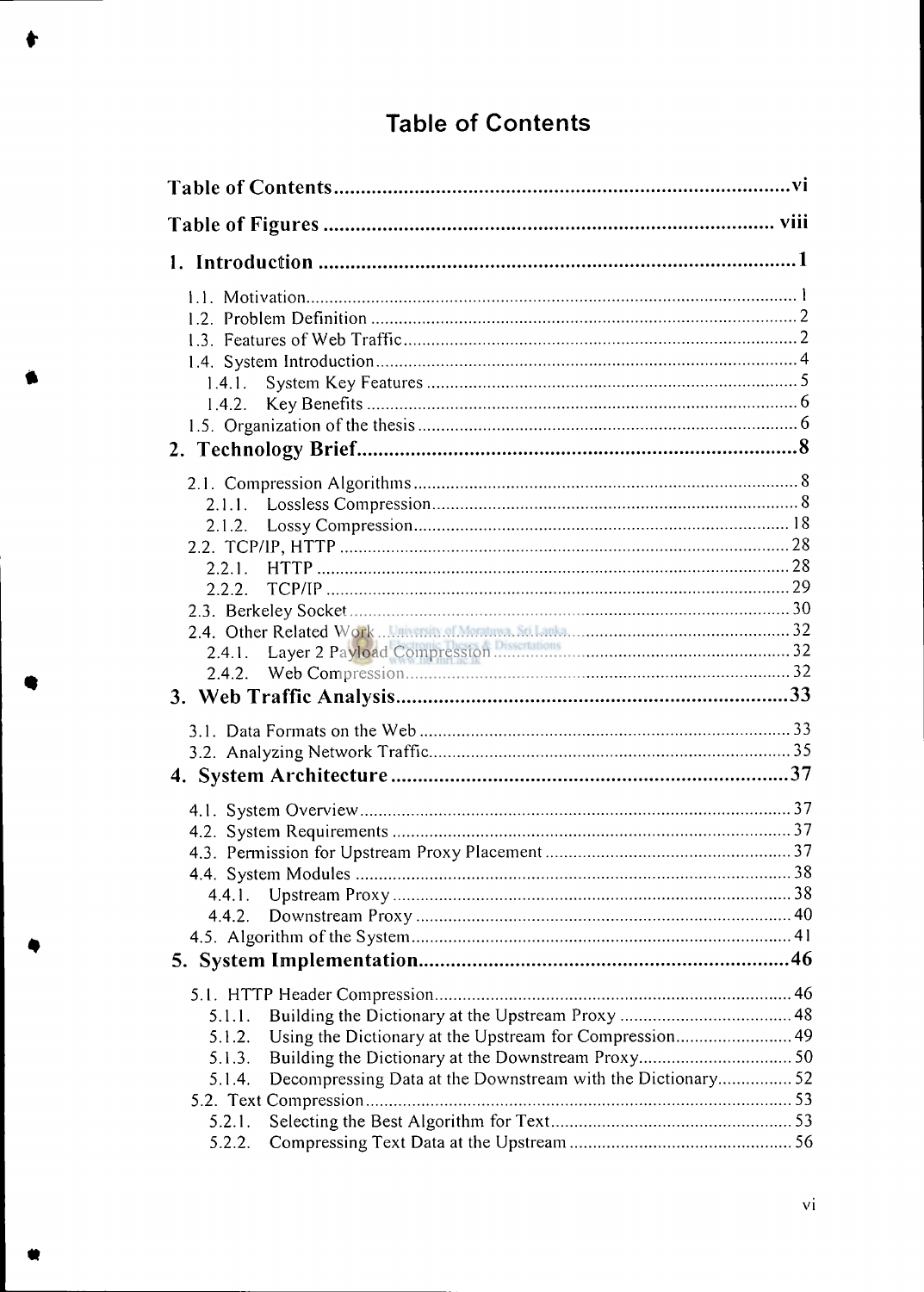## **Table of Contents**

| 1.4.1.                                                               |  |
|----------------------------------------------------------------------|--|
| 1.4.2.                                                               |  |
|                                                                      |  |
|                                                                      |  |
|                                                                      |  |
| 2.1.1.                                                               |  |
|                                                                      |  |
|                                                                      |  |
| 2.2.1.                                                               |  |
|                                                                      |  |
|                                                                      |  |
| Layer 2 Payload Compression Discovery 2006 22                        |  |
| 2.4.1.                                                               |  |
|                                                                      |  |
|                                                                      |  |
|                                                                      |  |
|                                                                      |  |
|                                                                      |  |
|                                                                      |  |
|                                                                      |  |
|                                                                      |  |
|                                                                      |  |
| 4.4.1.                                                               |  |
| 4.4.2.                                                               |  |
|                                                                      |  |
|                                                                      |  |
|                                                                      |  |
| 5.1.1.                                                               |  |
| Using the Dictionary at the Upstream for Compression 49<br>5.1.2.    |  |
| 5.1.3.                                                               |  |
| Decompressing Data at the Downstream with the Dictionary52<br>5.1.4. |  |
|                                                                      |  |
| 5.2.1.                                                               |  |
| 5.2.2.                                                               |  |

**•**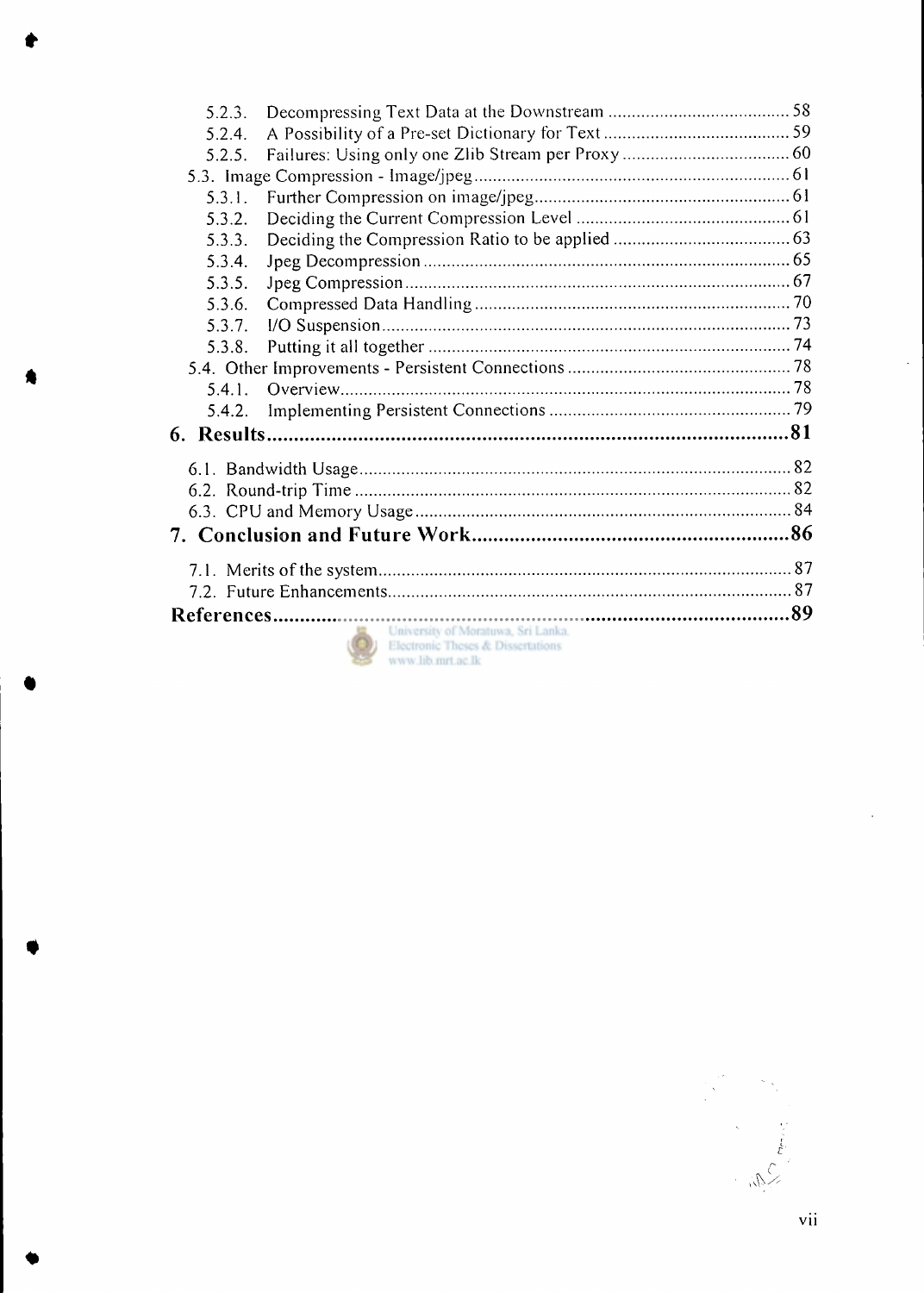| 5.2.3.                                                                                               |  |
|------------------------------------------------------------------------------------------------------|--|
| 5.2.4.                                                                                               |  |
| 5.2.5.                                                                                               |  |
|                                                                                                      |  |
| 5.3.1.                                                                                               |  |
| 5.3.2.                                                                                               |  |
| 5.3.3.                                                                                               |  |
| 5.3.4.                                                                                               |  |
| 5.3.5.                                                                                               |  |
| 5.3.6.                                                                                               |  |
| 5.3.7.                                                                                               |  |
| 5.3.8.                                                                                               |  |
|                                                                                                      |  |
| 5.4.1.                                                                                               |  |
| 5.4.2.                                                                                               |  |
|                                                                                                      |  |
|                                                                                                      |  |
|                                                                                                      |  |
|                                                                                                      |  |
|                                                                                                      |  |
|                                                                                                      |  |
|                                                                                                      |  |
|                                                                                                      |  |
| University of Moratuwa, Sri Lanka.<br>Electronic Theses & Dissertations<br>manual life must no life. |  |

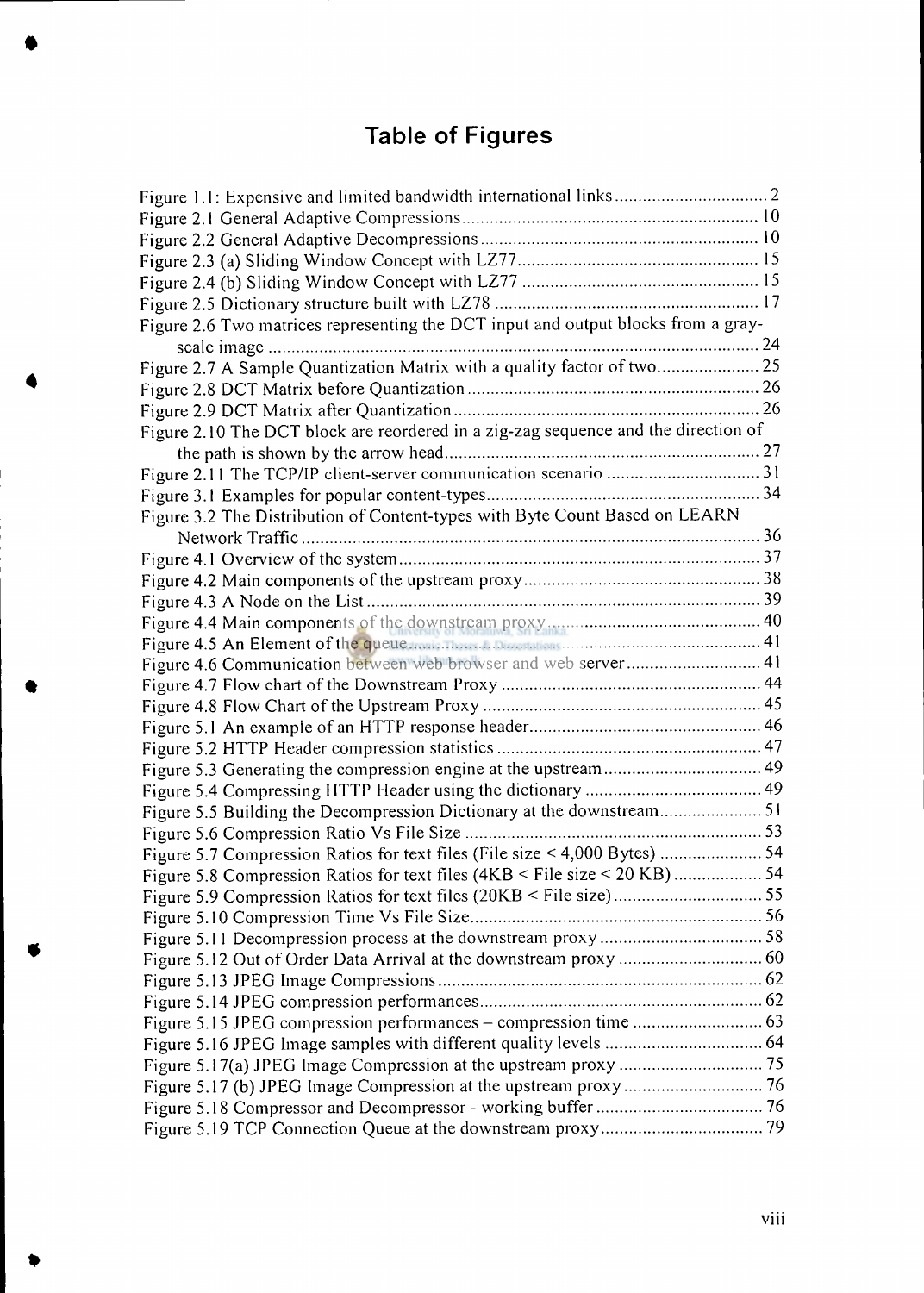# **Table of Figures**

•

| Figure 2.6 Two matrices representing the DCT input and output blocks from a gray-                                                                                                                                                   |  |
|-------------------------------------------------------------------------------------------------------------------------------------------------------------------------------------------------------------------------------------|--|
|                                                                                                                                                                                                                                     |  |
| Figure 2.7 A Sample Quantization Matrix with a quality factor of two 25                                                                                                                                                             |  |
|                                                                                                                                                                                                                                     |  |
|                                                                                                                                                                                                                                     |  |
| Figure 2.10 The DCT block are reordered in a zig-zag sequence and the direction of                                                                                                                                                  |  |
|                                                                                                                                                                                                                                     |  |
|                                                                                                                                                                                                                                     |  |
|                                                                                                                                                                                                                                     |  |
| Figure 3.2 The Distribution of Content-types with Byte Count Based on LEARN                                                                                                                                                         |  |
|                                                                                                                                                                                                                                     |  |
|                                                                                                                                                                                                                                     |  |
|                                                                                                                                                                                                                                     |  |
|                                                                                                                                                                                                                                     |  |
|                                                                                                                                                                                                                                     |  |
| Figure 4.5 An Element of the queue <b>contract of the contract of the set of the contract of the queue</b> contract of the contract of the contract of the contract of the contract of the contract of the contract of the contract |  |
| Figure 4.6 Communication between web browser and web server 41                                                                                                                                                                      |  |
|                                                                                                                                                                                                                                     |  |
|                                                                                                                                                                                                                                     |  |
|                                                                                                                                                                                                                                     |  |
|                                                                                                                                                                                                                                     |  |
| Figure 5.3 Generating the compression engine at the upstream 49                                                                                                                                                                     |  |
|                                                                                                                                                                                                                                     |  |
| Figure 5.5 Building the Decompression Dictionary at the downstream 51                                                                                                                                                               |  |
|                                                                                                                                                                                                                                     |  |
| Figure 5.7 Compression Ratios for text files (File size < 4,000 Bytes)  54                                                                                                                                                          |  |
| Figure 5.8 Compression Ratios for text files (4KB < File size < 20 KB)  54                                                                                                                                                          |  |
|                                                                                                                                                                                                                                     |  |
|                                                                                                                                                                                                                                     |  |
|                                                                                                                                                                                                                                     |  |
|                                                                                                                                                                                                                                     |  |
|                                                                                                                                                                                                                                     |  |
|                                                                                                                                                                                                                                     |  |
|                                                                                                                                                                                                                                     |  |
|                                                                                                                                                                                                                                     |  |
|                                                                                                                                                                                                                                     |  |
|                                                                                                                                                                                                                                     |  |
|                                                                                                                                                                                                                                     |  |
|                                                                                                                                                                                                                                     |  |